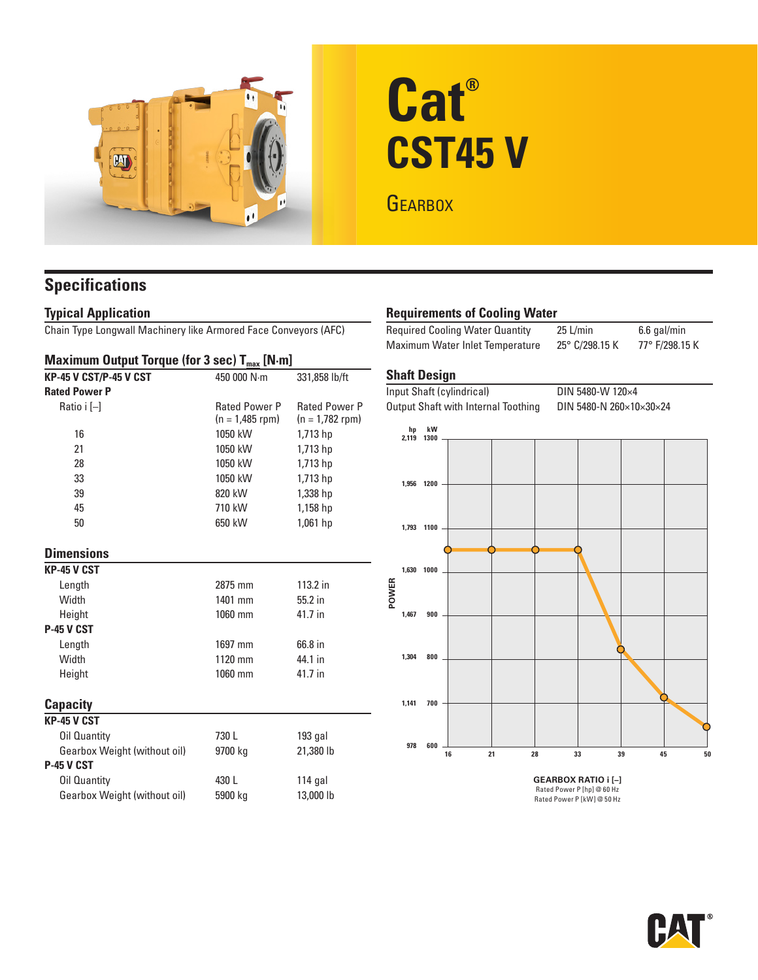

# **Cat® CST45 V**

**GEARBOX** 

# **Specifications**

## **Typical Application**

Chain Type Longwall Machinery like Armored Face Conveyors (AFC)

#### **Maximum Output Torque (for 3 sec) T<sub>max</sub> [N·m]**

| <b>KP-45 V CST/P-45 V CST</b> | 450 000 N·m          | 331,858 lb/ft        |  |  |
|-------------------------------|----------------------|----------------------|--|--|
| <b>Rated Power P</b>          |                      |                      |  |  |
| Ratio i [-]                   | <b>Rated Power P</b> | <b>Rated Power P</b> |  |  |
|                               | (n = 1,485 rpm)      | $(n = 1,782$ rpm)    |  |  |
| 16                            | 1050 kW              | 1,713 hp             |  |  |
| 21                            | 1050 kW              | 1,713 hp             |  |  |
| 28                            | 1050 kW              | 1,713 hp             |  |  |
| 33                            | 1050 kW              | 1,713 hp             |  |  |
| 39                            | 820 kW               | 1,338 hp             |  |  |
| 45                            | 710 kW               | 1,158 hp             |  |  |
| 50                            | 650 kW               | 1,061 hp             |  |  |
| <b>Dimensions</b>             |                      |                      |  |  |
| KP-45 V CST                   |                      |                      |  |  |
| Length                        | 2875 mm              | 113.2 in             |  |  |
| Width                         | 1401 mm              | 55.2 in              |  |  |
| Height                        | 1060 mm              | 41.7 in              |  |  |
| <b>P-45 V CST</b>             |                      |                      |  |  |
| Length                        | 1697 mm              | 66.8 in              |  |  |
| Width                         | 1120 mm              | 44.1 in              |  |  |
| Height                        | 1060 mm              | 41.7 in              |  |  |
| <b>Capacity</b>               |                      |                      |  |  |
| <b>KP-45 V CST</b>            |                      |                      |  |  |
| Oil Quantity                  | 730 L                | $193$ gal            |  |  |
| Gearbox Weight (without oil)  | 9700 kg              | 21,380 lb            |  |  |
| <b>P-45 V CST</b>             |                      |                      |  |  |
| Oil Quantity                  | 430L                 | $114$ gal            |  |  |
| Gearbox Weight (without oil)  | 5900 kg              | 13,000 lb            |  |  |
|                               |                      |                      |  |  |

# **Requirements of Cooling Water**

Required Cooling Water Quantity 25 L/min 6.6 gal/min Maximum Water Inlet Temperature 25° C/298.15 K 77° F/298.15 K

# **Shaft Design**

| Input Shaft (cylindrical) |                            |                                     |    |    |  |    | DIN 5480-W 120×4        |          |    |  |
|---------------------------|----------------------------|-------------------------------------|----|----|--|----|-------------------------|----------|----|--|
|                           |                            | Output Shaft with Internal Toothing |    |    |  |    | DIN 5480-N 260×10×30×24 |          |    |  |
|                           | hp<br>2,119 1300           | kW                                  |    |    |  |    |                         |          |    |  |
|                           |                            |                                     |    |    |  |    |                         |          |    |  |
|                           |                            | 1,956 1200                          |    |    |  |    |                         |          |    |  |
|                           |                            | 1,793 1100                          |    |    |  |    |                         |          |    |  |
|                           |                            |                                     |    |    |  |    |                         |          |    |  |
|                           | 1,630                      | 1000                                |    |    |  |    |                         |          |    |  |
| POWER                     | 1,467                      | 900                                 |    |    |  |    |                         |          |    |  |
|                           |                            |                                     |    |    |  |    |                         |          |    |  |
|                           | 1,304                      | 800                                 |    |    |  |    |                         |          |    |  |
|                           |                            |                                     |    |    |  |    |                         |          |    |  |
|                           | 1,141                      | 700                                 |    |    |  |    |                         |          |    |  |
|                           | 978                        | 600                                 |    |    |  |    |                         |          |    |  |
|                           |                            |                                     | 16 | 21 |  | 28 | 33                      | 39<br>45 | 50 |  |
|                           | <b>GEARBOX RATIO i [-]</b> |                                     |    |    |  |    |                         |          |    |  |
|                           | Rated Power P [hp] @ 60 Hz |                                     |    |    |  |    |                         |          |    |  |
|                           | Rated Power P [kW] @ 50 Hz |                                     |    |    |  |    |                         |          |    |  |